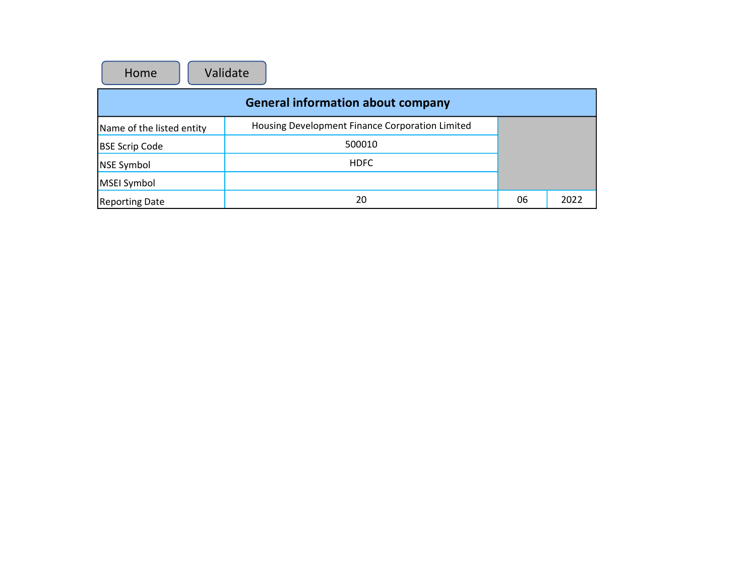| Validate<br>Home                         |                                                 |    |      |  |  |  |
|------------------------------------------|-------------------------------------------------|----|------|--|--|--|
| <b>General information about company</b> |                                                 |    |      |  |  |  |
| Name of the listed entity                | Housing Development Finance Corporation Limited |    |      |  |  |  |
| <b>BSE Scrip Code</b>                    | 500010                                          |    |      |  |  |  |
| NSE Symbol                               | <b>HDFC</b>                                     |    |      |  |  |  |
| MSEI Symbol                              |                                                 |    |      |  |  |  |
| <b>Reporting Date</b>                    | 20                                              | 06 | 2022 |  |  |  |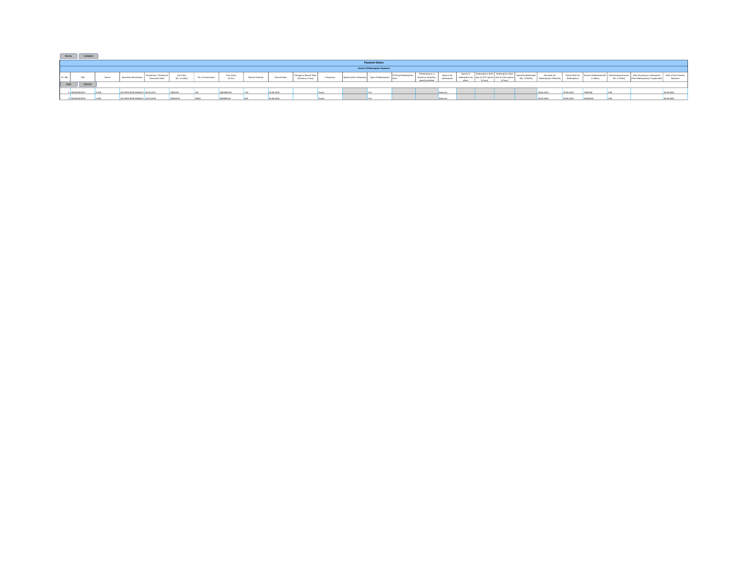| Home    | Validate              |        |                                  |                      |                             |                   |                        |                  |             |                                            |           |                                       |                      |                                    |                          |          |               |                           |            |         |               |                           |
|---------|-----------------------|--------|----------------------------------|----------------------|-----------------------------|-------------------|------------------------|------------------|-------------|--------------------------------------------|-----------|---------------------------------------|----------------------|------------------------------------|--------------------------|----------|---------------|---------------------------|------------|---------|---------------|---------------------------|
|         | <b>Payment Status</b> |        |                                  |                      |                             |                   |                        |                  |             |                                            |           |                                       |                      |                                    |                          |          |               |                           |            |         |               |                           |
|         |                       |        |                                  |                      |                             |                   |                        |                  |             |                                            |           | <b>Details Of Redemption Payments</b> |                      |                                    |                          |          |               |                           |            |         |               |                           |
| Sr. No. | <b>ISIN</b>           | Series | Securities Descriptio            | <b>Document Date</b> | hsue Size<br>(Rs. In lakhs) | No. of instrument | Face Value<br>(In Rs.) | Rate of Interest | Record Date | Change in Record Date<br>Previous, if any) | Frequency |                                       | If Partial Redemptic | If Redemption is<br>specify whethe | Reason for<br>redemption | Specify" | (No. of NCDs) | Due date fr<br>an/ Maturi |            | In Isle | (Rs. In lakhs | of last Intere<br>Daumari |
| Add     | Delete                |        |                                  |                      |                             |                   |                        |                  |             |                                            |           |                                       |                      |                                    |                          |          |               |                           |            |         |               |                           |
|         | INECOLAGIQTI          |        | ECURED REDEEMABLE N 06-02-2017   |                      |                             |                   |                        |                  | 04-05-2022  |                                            |           |                                       |                      |                                    | <b>Maturity</b>          |          |               | 20-06-2022                | 20-06-2022 |         |               | 20-06-2022                |
|         | 2 INECOLAGERUS        |        | FOIRED REDEFIAARLE N. 16.03.3019 |                      |                             |                   |                        |                  | 04.05.3022  |                                            |           |                                       |                      |                                    | Maturity                 |          |               | 20-06-2022                | 20-06-2022 |         |               | 20-06-2022                |